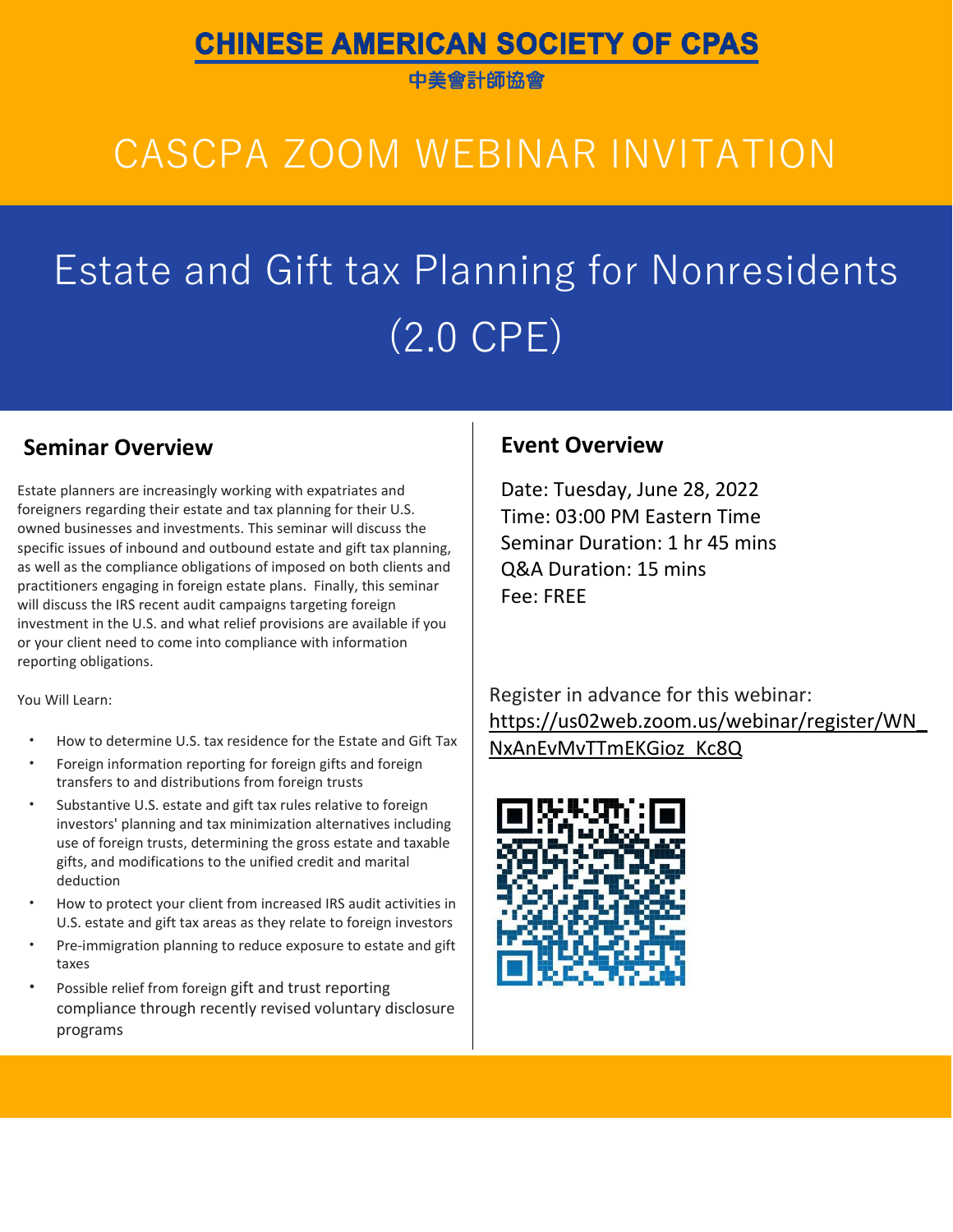### **CHINESE AMERICAN SOCIETY OF CPAS**

中美會計師協會

# CASCPA ZOOM WEBINAR INVITATION

# Estate and Gift tax Planning for Nonresidents (2.0 CPE)

### **Seminar Overview <b>Event Event** Overview

Estate planners are increasingly working with expatriates and foreigners regarding their estate and tax planning for their U.S. owned businesses and investments. This seminar will discuss the specific issues of inbound and outbound estate and gift tax planning, as well as the compliance obligations of imposed on both clients and practitioners engaging in foreign estate plans. Finally, this seminar will discuss the IRS recent audit campaigns targeting foreign investment in the U.S. and what relief provisions are available if you or your client need to come into compliance with information reporting obligations.

You Will Learn:

- How to determine U.S. tax residence for the Estate and Gift Tax
- Foreign information reporting for foreign gifts and foreign transfers to and distributions from foreign trusts
- Substantive U.S. estate and gift tax rules relative to foreign investors' planning and tax minimization alternatives including use of foreign trusts, determining the gross estate and taxable gifts, and modifications to the unified credit and marital deduction
- How to protect your client from increased IRS audit activities in U.S. estate and gift tax areas as they relate to foreign investors
- Pre-immigration planning to reduce exposure to estate and gift taxes
- Possible relief from foreign gift and trust reporting compliance through recently revised voluntary disclosure programs

Date: Tuesday, June 28, 2022 Time: 03:00 PM Eastern Time Seminar Duration: 1 hr 45 mins Q&A Duration: 15 mins Fee: FREE

Register in advance for this webinar: [https://us02web.zoom.us/webinar/register/WN\\_](https://us02web.zoom.us/webinar/register/WN_NxAnEvMvTTmEKGioz_Kc8Q) [NxAnEvMvTTmEKGioz\\_Kc8Q](https://us02web.zoom.us/webinar/register/WN_NxAnEvMvTTmEKGioz_Kc8Q)